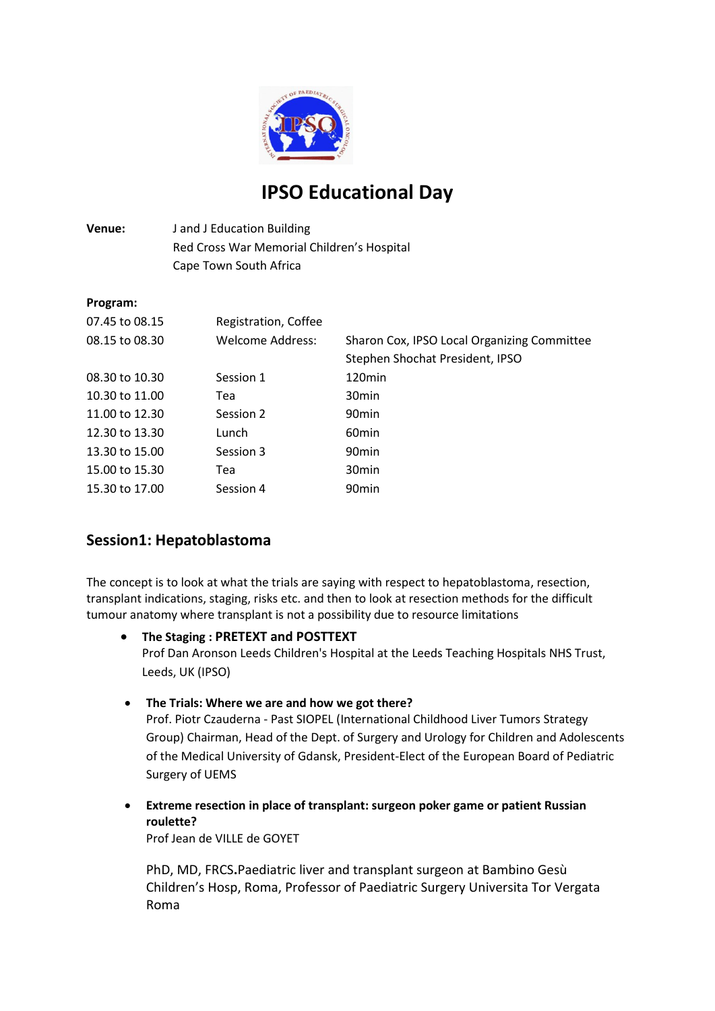

# **IPSO Educational Day**

# **Venue:** J and J Education Building Red Cross War Memorial Children's Hospital Cape Town South Africa

## **Program:**

| Registration, Coffee |                                             |
|----------------------|---------------------------------------------|
| Welcome Address:     | Sharon Cox, IPSO Local Organizing Committee |
|                      | Stephen Shochat President, IPSO             |
| Session 1            | 120 <sub>min</sub>                          |
| Tea                  | 30 <sub>min</sub>                           |
| Session 2            | 90 <sub>min</sub>                           |
| Lunch                | 60 <sub>min</sub>                           |
| Session 3            | 90 <sub>min</sub>                           |
| Tea                  | 30 <sub>min</sub>                           |
| Session 4            | 90 <sub>min</sub>                           |
|                      |                                             |

# **Session1: Hepatoblastoma**

The concept is to look at what the trials are saying with respect to hepatoblastoma, resection, transplant indications, staging, risks etc. and then to look at resection methods for the difficult tumour anatomy where transplant is not a possibility due to resource limitations

- **The Staging : PRETEXT and POSTTEXT** Prof Dan Aronson Leeds Children's Hospital at the Leeds Teaching Hospitals NHS Trust, Leeds, UK (IPSO)
- **The Trials: Where we are and how we got there?**

Prof. Piotr Czauderna - Past SIOPEL (International Childhood Liver Tumors Strategy Group) Chairman, Head of the Dept. of Surgery and Urology for Children and Adolescents of the Medical University of Gdansk, President-Elect of the European Board of Pediatric Surgery of UEMS

 **Extreme resection in place of transplant: surgeon poker game or patient Russian roulette?**

Prof Jean de VILLE de GOYET

PhD, MD, FRCS**.**Paediatric liver and transplant surgeon at Bambino Gesù Children's Hosp, Roma, Professor of Paediatric Surgery Universita Tor Vergata Roma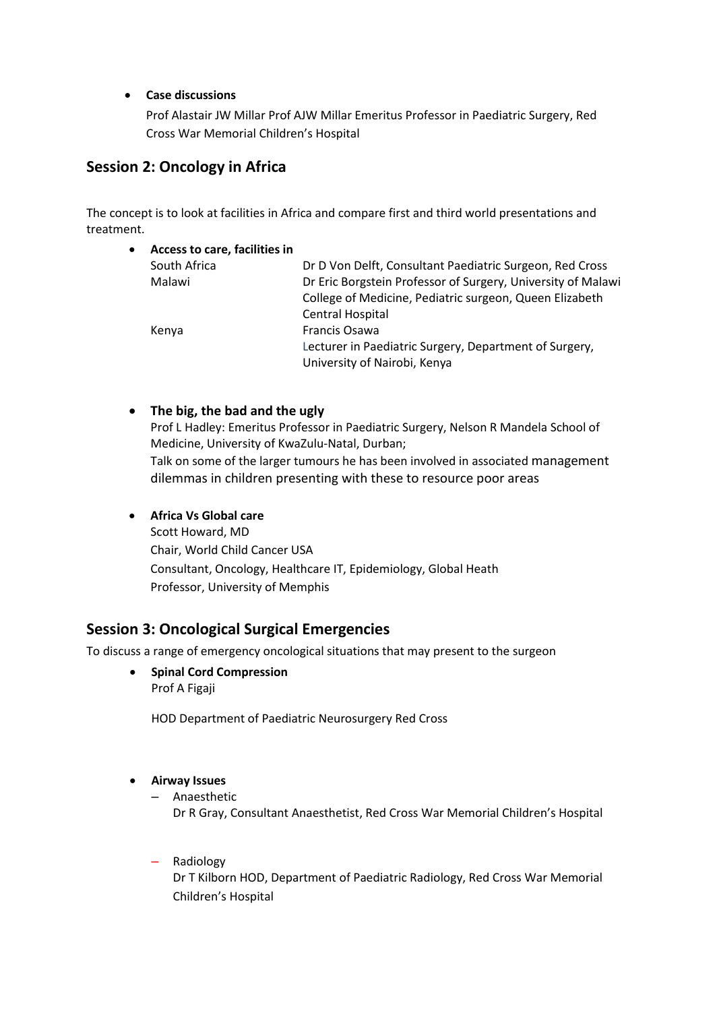## **Case discussions**

Prof Alastair JW Millar Prof AJW Millar Emeritus Professor in Paediatric Surgery, Red Cross War Memorial Children's Hospital

# **Session 2: Oncology in Africa**

The concept is to look at facilities in Africa and compare first and third world presentations and treatment.

| $\bullet$ | Access to care, facilities in |                                                              |
|-----------|-------------------------------|--------------------------------------------------------------|
|           | South Africa                  | Dr D Von Delft, Consultant Paediatric Surgeon, Red Cross     |
|           | Malawi                        | Dr Eric Borgstein Professor of Surgery, University of Malawi |
|           |                               | College of Medicine, Pediatric surgeon, Queen Elizabeth      |
|           |                               | Central Hospital                                             |
|           | Kenya                         | Francis Osawa                                                |
|           |                               | Lecturer in Paediatric Surgery, Department of Surgery,       |
|           |                               | University of Nairobi, Kenya                                 |
|           |                               |                                                              |

## **The big, the bad and the ugly**

Prof L Hadley: Emeritus Professor in Paediatric Surgery, Nelson R Mandela School of Medicine, University of KwaZulu-Natal, Durban; Talk on some of the larger tumours he has been involved in associated management dilemmas in children presenting with these to resource poor areas

## **Africa Vs Global care**

Scott Howard, MD Chair, World Child Cancer USA Consultant, Oncology, Healthcare IT, Epidemiology, Global Heath Professor, University of Memphis

## **Session 3: Oncological Surgical Emergencies**

To discuss a range of emergency oncological situations that may present to the surgeon

**•** Spinal Cord Compression Prof A Figaji

HOD Department of Paediatric Neurosurgery Red Cross

#### **Airway Issues**

- Anaesthetic Dr R Gray, Consultant Anaesthetist, Red Cross War Memorial Children's Hospital
- Radiology

Dr T Kilborn HOD, Department of Paediatric Radiology, Red Cross War Memorial Children's Hospital